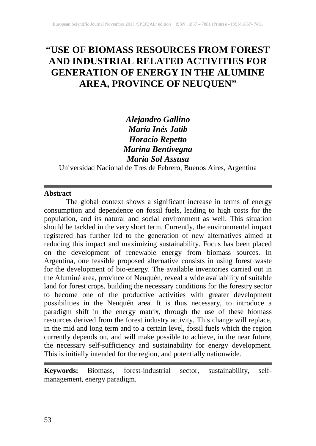# **"USE OF BIOMASS RESOURCES FROM FOREST AND INDUSTRIAL RELATED ACTIVITIES FOR GENERATION OF ENERGY IN THE ALUMINE AREA, PROVINCE OF NEUQUEN"**

*Alejandro Gallino María Inés Jatib Horacio Repetto Marina Bentivegna María Sol Assusa*

Universidad Nacional de Tres de Febrero, Buenos Aires, Argentina

#### **Abstract**

The global context shows a significant increase in terms of energy consumption and dependence on fossil fuels, leading to high costs for the population, and its natural and social environment as well. This situation should be tackled in the very short term. Currently, the environmental impact registered has further led to the generation of new alternatives aimed at reducing this impact and maximizing sustainability. Focus has been placed on the development of renewable energy from biomass sources. In Argentina, one feasible proposed alternative consists in using forest waste for the development of bio-energy. The available inventories carried out in the Aluminé area, province of Neuquén, reveal a wide availability of suitable land for forest crops, building the necessary conditions for the forestry sector to become one of the productive activities with greater development possibilities in the Neuquén area. It is thus necessary, to introduce a paradigm shift in the energy matrix, through the use of these biomass resources derived from the forest industry activity. This change will replace, in the mid and long term and to a certain level, fossil fuels which the region currently depends on, and will make possible to achieve, in the near future, the necessary self-sufficiency and sustainability for energy development. This is initially intended for the region, and potentially nationwide.

**Keywords:** Biomass, forest-industrial sector, sustainability, selfmanagement, energy paradigm.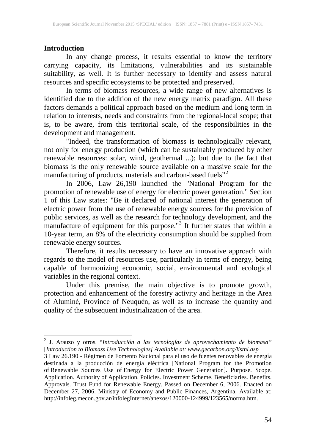## **Introduction**

In any change process, it results essential to know the territory carrying capacity, its limitations, vulnerabilities and its sustainable suitability, as well. It is further necessary to identify and assess natural resources and specific ecosystems to be protected and preserved.

In terms of biomass resources, a wide range of new alternatives is identified due to the addition of the new energy matrix paradigm. All these factors demands a political approach based on the medium and long term in relation to interests, needs and constraints from the regional-local scope; that is, to be aware, from this territorial scale, of the responsibilities in the development and management.

"Indeed, the transformation of biomass is technologically relevant, not only for energy production (which can be sustainably produced by other renewable resources: solar, wind, geothermal ...); but due to the fact that biomass is the only renewable source available on a massive scale for the manufacturing of products, materials and carbon-based fuels"<sup>[2](#page--1-0)</sup>

In 2006, Law 26,190 launched the "National Program for the promotion of renewable use of energy for electric power generation." Section 1 of this Law states: "Be it declared of national interest the generation of electric power from the use of renewable energy sources for the provision of public services, as well as the research for technology development, and the manufacture of equipment for this purpose."<sup>[3](#page-1-0)</sup> It further states that within a 10-year term, an 8% of the electricity consumption should be supplied from renewable energy sources.

Therefore, it results necessary to have an innovative approach with regards to the model of resources use, particularly in terms of energy, being capable of harmonizing economic, social, environmental and ecological variables in the regional context.

Under this premise, the main objective is to promote growth, protection and enhancement of the forestry activity and heritage in the Area of Aluminé, Province of Neuquén, as well as to increase the quantity and quality of the subsequent industrialization of the area.

<sup>2</sup> J. Arauzo y otros. "*Introducción a las tecnologías de aprovechamiento de biomasa"* [*Introduction to Biomass Use Technologies] Available at: www.gecarbon.org/listnl.asp*

<span id="page-1-1"></span><span id="page-1-0"></span><sup>3</sup> Law 26.190 - Régimen de Fomento Nacional para el uso de fuentes renovables de energía destinada a la producción de energía eléctrica [National Program for the Promotion of Renewable Sources Use of Energy for Electric Power Generation]. Purpose. Scope. Application. Authority of Application. Policies. Investment Scheme. Beneficiaries. Benefits. Approvals. Trust Fund for Renewable Energy. Passed on December 6, 2006. Enacted on December 27, 2006. Ministry of Economy and Public Finances, Argentina. Available at: http://infoleg.mecon.gov.ar/infolegInternet/anexos/120000-124999/123565/norma.htm.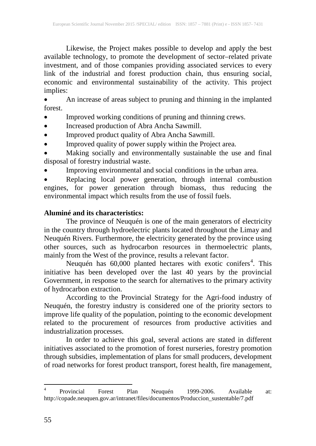Likewise, the Project makes possible to develop and apply the best available technology, to promote the development of sector–related private investment, and of those companies providing associated services to every link of the industrial and forest production chain, thus ensuring social, economic and environmental sustainability of the activity. This project implies:

• An increase of areas subject to pruning and thinning in the implanted forest.

- Improved working conditions of pruning and thinning crews.
- Increased production of Abra Ancha Sawmill.
- Improved product quality of Abra Ancha Sawmill.
- Improved quality of power supply within the Project area.

• Making socially and environmentally sustainable the use and final disposal of forestry industrial waste.

• Improving environmental and social conditions in the urban area.

• Replacing local power generation, through internal combustion engines, for power generation through biomass, thus reducing the environmental impact which results from the use of fossil fuels.

## **Aluminé and its characteristics:**

The province of Neuquén is one of the main generators of electricity in the country through hydroelectric plants located throughout the Limay and Neuquén Rivers. Furthermore, the electricity generated by the province using other sources, such as hydrocarbon resources in thermoelectric plants, mainly from the West of the province, results a relevant factor.

Neuquén has 60,000 planted hectares with exotic conifers<sup>[4](#page-1-1)</sup>. This initiative has been developed over the last 40 years by the provincial Government, in response to the search for alternatives to the primary activity of hydrocarbon extraction.

According to the Provincial Strategy for the Agri-food industry of Neuquén, the forestry industry is considered one of the priority sectors to improve life quality of the population, pointing to the economic development related to the procurement of resources from productive activities and industrialization processes.

<span id="page-2-0"></span>In order to achieve this goal, several actions are stated in different initiatives associated to the promotion of forest nurseries, forestry promotion through subsidies, implementation of plans for small producers, development of road networks for forest product transport, forest health, fire management,

<sup>4</sup> Provincial Forest Plan Neuquén 1999-2006. Available at: http://copade.neuquen.gov.ar/intranet/files/documentos/Produccion\_sustentable/7.pdf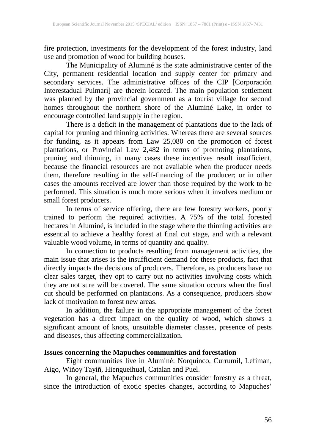fire protection, investments for the development of the forest industry, land use and promotion of wood for building houses.

The Municipality of Aluminé is the state administrative center of the City, permanent residential location and supply center for primary and secondary services. The administrative offices of the CIP [Corporación Interestadual Pulmarí] are therein located. The main population settlement was planned by the provincial government as a tourist village for second homes throughout the northern shore of the Aluminé Lake, in order to encourage controlled land supply in the region.

There is a deficit in the management of plantations due to the lack of capital for pruning and thinning activities. Whereas there are several sources for funding, as it appears from Law 25,080 on the promotion of forest plantations, or Provincial Law 2,482 in terms of promoting plantations, pruning and thinning, in many cases these incentives result insufficient, because the financial resources are not available when the producer needs them, therefore resulting in the self-financing of the producer; or in other cases the amounts received are lower than those required by the work to be performed. This situation is much more serious when it involves medium or small forest producers.

In terms of service offering, there are few forestry workers, poorly trained to perform the required activities. A 75% of the total forested hectares in Aluminé, is included in the stage where the thinning activities are essential to achieve a healthy forest at final cut stage, and with a relevant valuable wood volume, in terms of quantity and quality.

In connection to products resulting from management activities, the main issue that arises is the insufficient demand for these products, fact that directly impacts the decisions of producers. Therefore, as producers have no clear sales target, they opt to carry out no activities involving costs which they are not sure will be covered. The same situation occurs when the final cut should be performed on plantations. As a consequence, producers show lack of motivation to forest new areas.

In addition, the failure in the appropriate management of the forest vegetation has a direct impact on the quality of wood, which shows a significant amount of knots, unsuitable diameter classes, presence of pests and diseases, thus affecting commercialization.

## **Issues concerning the Mapuches communities and forestation**

Eight communities live in Aluminé: Norquinco, Currumil, Lefiman, Aigo, Wiñoy Tayiñ, Hiengueihual, Catalan and Puel.

In general, the Mapuches communities consider forestry as a threat, since the introduction of exotic species changes, according to Mapuches'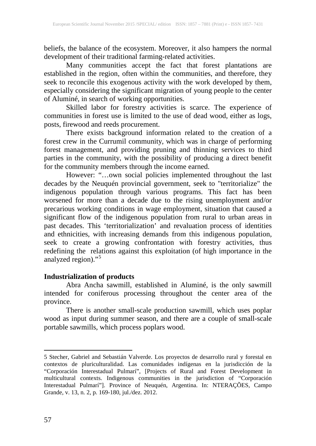beliefs, the balance of the ecosystem. Moreover, it also hampers the normal development of their traditional farming-related activities.

Many communities accept the fact that forest plantations are established in the region, often within the communities, and therefore, they seek to reconcile this exogenous activity with the work developed by them, especially considering the significant migration of young people to the center of Aluminé, in search of working opportunities.

Skilled labor for forestry activities is scarce. The experience of communities in forest use is limited to the use of dead wood, either as logs, posts, firewood and reeds procurement.

There exists background information related to the creation of a forest crew in the Currumil community, which was in charge of performing forest management, and providing pruning and thinning services to third parties in the community, with the possibility of producing a direct benefit for the community members through the income earned.

However: "…own social policies implemented throughout the last decades by the Neuquén provincial government, seek to "territorialize" the indigenous population through various programs. This fact has been worsened for more than a decade due to the rising unemployment and/or precarious working conditions in wage employment, situation that caused a significant flow of the indigenous population from rural to urban areas in past decades. This 'territorialization' and revaluation process of identities and ethnicities, with increasing demands from this indigenous population, seek to create a growing confrontation with forestry activities, thus redefining the relations against this exploitation (of high importance in the analyzed region)."<sup>[5](#page-2-0)</sup>

## **Industrialization of products**

Abra Ancha sawmill, established in Aluminé, is the only sawmill intended for coniferous processing throughout the center area of the province.

There is another small-scale production sawmill, which uses poplar wood as input during summer season, and there are a couple of small-scale portable sawmills, which process poplars wood.

 $\overline{\phantom{a}}$ 

<span id="page-4-0"></span><sup>5</sup> Stecher, Gabriel and Sebastián Valverde. Los proyectos de desarrollo rural y forestal en contextos de pluriculturalidad. Las comunidades indígenas en la jurisdicción de la "Corporación Interestadual Pulmarí", [Projects of Rural and Forest Development in multicultural contexts. Indigenous communities in the jurisdiction of "Corporación Interestadual Pulmarí"]. Province of Neuquén, Argentina. In: NTERAÇÕES, Campo Grande, v. 13, n. 2, p. 169-180, jul./dez. 2012.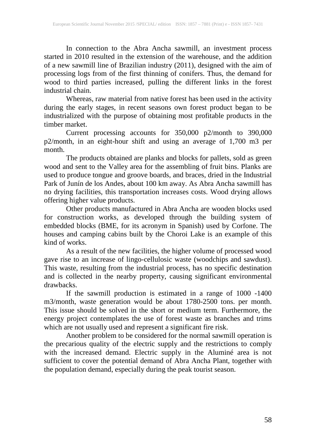In connection to the Abra Ancha sawmill, an investment process started in 2010 resulted in the extension of the warehouse, and the addition of a new sawmill line of Brazilian industry (2011), designed with the aim of processing logs from of the first thinning of conifers. Thus, the demand for wood to third parties increased, pulling the different links in the forest industrial chain.

Whereas, raw material from native forest has been used in the activity during the early stages, in recent seasons own forest product began to be industrialized with the purpose of obtaining most profitable products in the timber market.

Current processing accounts for 350,000 p2/month to 390,000 p2/month, in an eight-hour shift and using an average of 1,700 m3 per month.

The products obtained are planks and blocks for pallets, sold as green wood and sent to the Valley area for the assembling of fruit bins. Planks are used to produce tongue and groove boards, and braces, dried in the Industrial Park of Junín de los Andes, about 100 km away. As Abra Ancha sawmill has no drying facilities, this transportation increases costs. Wood drying allows offering higher value products.

Other products manufactured in Abra Ancha are wooden blocks used for construction works, as developed through the building system of embedded blocks (BME, for its acronym in Spanish) used by Corfone. The houses and camping cabins built by the Choroi Lake is an example of this kind of works.

As a result of the new facilities, the higher volume of processed wood gave rise to an increase of lingo-cellulosic waste (woodchips and sawdust). This waste, resulting from the industrial process, has no specific destination and is collected in the nearby property, causing significant environmental drawbacks.

If the sawmill production is estimated in a range of 1000 -1400 m3/month, waste generation would be about 1780-2500 tons. per month. This issue should be solved in the short or medium term. Furthermore, the energy project contemplates the use of forest waste as branches and trims which are not usually used and represent a significant fire risk.

Another problem to be considered for the normal sawmill operation is the precarious quality of the electric supply and the restrictions to comply with the increased demand. Electric supply in the Aluminé area is not sufficient to cover the potential demand of Abra Ancha Plant, together with the population demand, especially during the peak tourist season.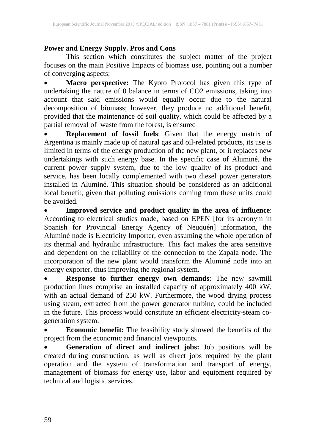# **Power and Energy Supply. Pros and Cons**

This section which constitutes the subject matter of the project focuses on the main Positive Impacts of biomass use, pointing out a number of converging aspects:

• **Macro perspective:** The Kyoto Protocol has given this type of undertaking the nature of 0 balance in terms of CO2 emissions, taking into account that said emissions would equally occur due to the natural decomposition of biomass; however, they produce no additional benefit, provided that the maintenance of soil quality, which could be affected by a partial removal of waste from the forest, is ensured

• **Replacement of fossil fuels**: Given that the energy matrix of Argentina is mainly made up of natural gas and oil-related products, its use is limited in terms of the energy production of the new plant, or it replaces new undertakings with such energy base. In the specific case of Aluminé, the current power supply system, due to the low quality of its product and service, has been locally complemented with two diesel power generators installed in Aluminé. This situation should be considered as an additional local benefit, given that polluting emissions coming from these units could be avoided.

• **Improved service and product quality in the area of influence**: According to electrical studies made, based on EPEN [for its acronym in Spanish for Provincial Energy Agency of Neuquén] information, the Aluminé node is Electricity Importer, even assuming the whole operation of its thermal and hydraulic infrastructure. This fact makes the area sensitive and dependent on the reliability of the connection to the Zapala node. The incorporation of the new plant would transform the Aluminé node into an energy exporter, thus improving the regional system.

• **Response to further energy own demands**: The new sawmill production lines comprise an installed capacity of approximately 400 kW, with an actual demand of 250 kW. Furthermore, the wood drying process using steam, extracted from the power generator turbine, could be included in the future. This process would constitute an efficient electricity-steam cogeneration system.

• **Economic benefit:** The feasibility study showed the benefits of the project from the economic and financial viewpoints.

• **Generation of direct and indirect jobs:** Job positions will be created during construction, as well as direct jobs required by the plant operation and the system of transformation and transport of energy, management of biomass for energy use, labor and equipment required by technical and logistic services.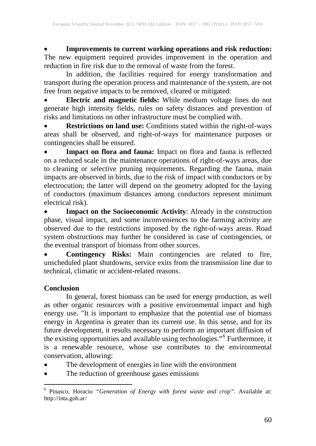• **Improvements to current working operations and risk reduction:** The new equipment required provides improvement in the operation and reduction in fire risk due to the removal of waste from the forest.

In addition, the facilities required for energy transformation and transport during the operation process and maintenance of the system, are not free from negative impacts to be removed, cleared or mitigated:

• **Electric and magnetic fields:** While medium voltage lines do not generate high intensity fields, rules on safety distances and prevention of risks and limitations on other infrastructure must be complied with.

• **Restrictions on land use:** Conditions stated within the right-of-ways areas shall be observed, and right-of-ways for maintenance purposes or contingencies shall be ensured.

• **Impact on flora and fauna:** Impact on flora and fauna is reflected on a reduced scale in the maintenance operations of right-of-ways areas, due to cleaning or selective pruning requirements. Regarding the fauna, main impacts are observed in birds, due to the risk of impact with conductors or by electrocution; the latter will depend on the geometry adopted for the laying of conductors (maximum distances among conductors represent minimum electrical risk).

• **Impact on the Socioeconomic Activity**: Already in the construction phase, visual impact, and some inconveniences to the farming activity are observed due to the restrictions imposed by the right-of-ways areas. Road system obstructions may further be considered in case of contingencies, or the eventual transport of biomass from other sources.

• **Contingency Risks:** Main contingencies are related to fire, unscheduled plant shutdowns, service exits from the transmission line due to technical, climatic or accident-related reasons.

## **Conclusion**

In general, forest biomass can be used for energy production, as well as other organic resources with a positive environmental impact and high energy use. "It is important to emphasize that the potential use of biomass energy in Argentina is greater than its current use. In this sense, and for its future development, it results necessary to perform an important diffusion of the existing opportunities and available using technologies."<sup>[6](#page-4-0)</sup> Furthermore, it is a renewable resource, whose use contributes to the environmental conservation, allowing:

- The development of energies in line with the environment
- The reduction of greenhouse gases emissions

<sup>6</sup> Pinasco, Horacio *"Generation of Energy with forest waste and crop".* Available at: http://inta.gob.ar/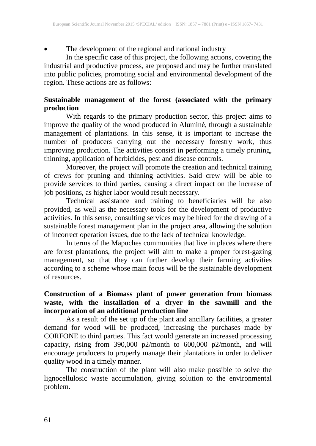• The development of the regional and national industry

In the specific case of this project, the following actions, covering the industrial and productive process, are proposed and may be further translated into public policies, promoting social and environmental development of the region. These actions are as follows:

# **Sustainable management of the forest (associated with the primary production**

With regards to the primary production sector, this project aims to improve the quality of the wood produced in Aluminé, through a sustainable management of plantations. In this sense, it is important to increase the number of producers carrying out the necessary forestry work, thus improving production. The activities consist in performing a timely pruning, thinning, application of herbicides, pest and disease controls.

Moreover, the project will promote the creation and technical training of crews for pruning and thinning activities. Said crew will be able to provide services to third parties, causing a direct impact on the increase of job positions, as higher labor would result necessary.

Technical assistance and training to beneficiaries will be also provided, as well as the necessary tools for the development of productive activities. In this sense, consulting services may be hired for the drawing of a sustainable forest management plan in the project area, allowing the solution of incorrect operation issues, due to the lack of technical knowledge.

In terms of the Mapuches communities that live in places where there are forest plantations, the project will aim to make a proper forest-gazing management, so that they can further develop their farming activities according to a scheme whose main focus will be the sustainable development of resources.

## **Construction of a Biomass plant of power generation from biomass waste, with the installation of a dryer in the sawmill and the incorporation of an additional production line**

As a result of the set up of the plant and ancillary facilities, a greater demand for wood will be produced, increasing the purchases made by CORFONE to third parties. This fact would generate an increased processing capacity, rising from 390,000 p2/month to 600,000 p2/month, and will encourage producers to properly manage their plantations in order to deliver quality wood in a timely manner.

The construction of the plant will also make possible to solve the lignocellulosic waste accumulation, giving solution to the environmental problem.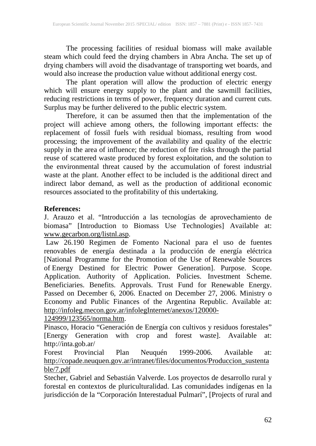The processing facilities of residual biomass will make available steam which could feed the drying chambers in Abra Ancha. The set up of drying chambers will avoid the disadvantage of transporting wet boards, and would also increase the production value without additional energy cost.

The plant operation will allow the production of electric energy which will ensure energy supply to the plant and the sawmill facilities, reducing restrictions in terms of power, frequency duration and current cuts. Surplus may be further delivered to the public electric system.

Therefore, it can be assumed then that the implementation of the project will achieve among others, the following important effects: the replacement of fossil fuels with residual biomass, resulting from wood processing; the improvement of the availability and quality of the electric supply in the area of influence; the reduction of fire risks through the partial reuse of scattered waste produced by forest exploitation, and the solution to the environmental threat caused by the accumulation of forest industrial waste at the plant. Another effect to be included is the additional direct and indirect labor demand, as well as the production of additional economic resources associated to the profitability of this undertaking.

## **References:**

J. Arauzo et al. "Introducción a las tecnologías de aprovechamiento de biomasa" [Introduction to Biomass Use Technologies] Available at: [www.gecarbon.org/listnl.asp.](http://www.gecarbon.org/listnl.asp)

Law 26.190 Regimen de Fomento Nacional para el uso de fuentes renovables de energía destinada a la producción de energía eléctrica [National Programme for the Promotion of the Use of Renewable Sources of Energy Destined for Electric Power Generation]. Purpose. Scope. Application. Authority of Application. Policies. Investment Scheme. Beneficiaries. Benefits. Approvals. Trust Fund for Renewable Energy. Passed on December 6, 2006. Enacted on December 27, 2006. Ministry o Economy and Public Finances of the Argentina Republic. Available at: [http://infoleg.mecon.gov.ar/infolegInternet/anexos/120000-](http://infoleg.mecon.gov.ar/infolegInternet/anexos/120000-124999/123565/norma.htm)

[124999/123565/norma.htm.](http://infoleg.mecon.gov.ar/infolegInternet/anexos/120000-124999/123565/norma.htm)

Pinasco, Horacio "Generación de Energía con cultivos y residuos forestales" [Energy Generation with crop and forest waste]. Available at: http://inta.gob.ar/<br>Forest Provincial Plan

Neuquén 1999-2006. Available at: [http://copade.neuquen.gov.ar/intranet/files/documentos/Produccion\\_sustenta](http://copade.neuquen.gov.ar/intranet/files/documentos/Produccion_sustentable/7.pdf) [ble/7.pdf](http://copade.neuquen.gov.ar/intranet/files/documentos/Produccion_sustentable/7.pdf)

Stecher, Gabriel and Sebastián Valverde. Los proyectos de desarrollo rural y forestal en contextos de pluriculturalidad. Las comunidades indígenas en la jurisdicción de la "Corporación Interestadual Pulmarí", [Projects of rural and